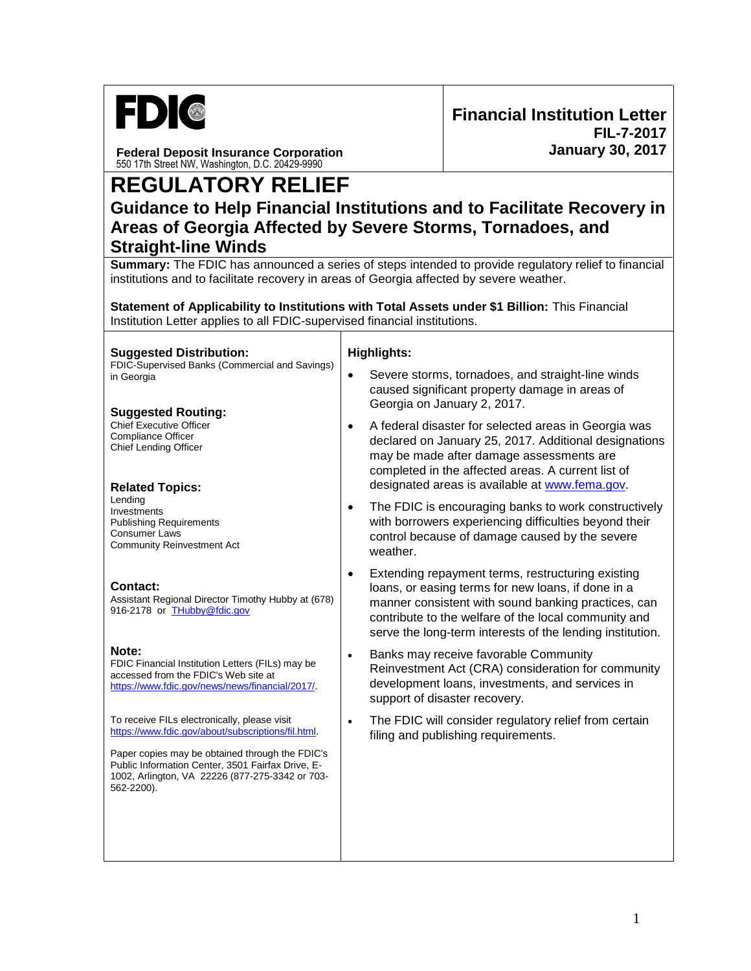

**Federal Deposit Insurance Corporation** 550 17th Street NW, Washington, D.C. 20429-9990

## **REGULATORY RELIEF**

## **Guidance to Help Financial Institutions and to Facilitate Recovery in Areas of Georgia Affected by Severe Storms, Tornadoes, and Straight-line Winds**

**Summary:** The FDIC has announced a series of steps intended to provide regulatory relief to financial institutions and to facilitate recovery in areas of Georgia affected by severe weather.

**Statement of Applicability to Institutions with Total Assets under \$1 Billion:** This Financial Institution Letter applies to all FDIC-supervised financial institutions.

Τ

| <b>Suggested Distribution:</b><br>FDIC-Supervised Banks (Commercial and Savings)<br>in Georgia<br><b>Suggested Routing:</b>                                           | <b>Highlights:</b> |                                                                                                                                                                                                                                                                                     |
|-----------------------------------------------------------------------------------------------------------------------------------------------------------------------|--------------------|-------------------------------------------------------------------------------------------------------------------------------------------------------------------------------------------------------------------------------------------------------------------------------------|
|                                                                                                                                                                       | $\bullet$          | Severe storms, tornadoes, and straight-line winds<br>caused significant property damage in areas of<br>Georgia on January 2, 2017.                                                                                                                                                  |
| <b>Chief Executive Officer</b><br><b>Compliance Officer</b><br><b>Chief Lending Officer</b><br><b>Related Topics:</b>                                                 | $\bullet$          | A federal disaster for selected areas in Georgia was<br>declared on January 25, 2017. Additional designations<br>may be made after damage assessments are<br>completed in the affected areas. A current list of<br>designated areas is available at www.fema.gov.                   |
| Lending<br>Investments<br><b>Publishing Requirements</b><br><b>Consumer Laws</b><br><b>Community Reinvestment Act</b>                                                 | $\bullet$          | The FDIC is encouraging banks to work constructively<br>with borrowers experiencing difficulties beyond their<br>control because of damage caused by the severe<br>weather.                                                                                                         |
| <b>Contact:</b><br>Assistant Regional Director Timothy Hubby at (678)<br>916-2178 or THubby@fdic.gov                                                                  | $\bullet$          | Extending repayment terms, restructuring existing<br>loans, or easing terms for new loans, if done in a<br>manner consistent with sound banking practices, can<br>contribute to the welfare of the local community and<br>serve the long-term interests of the lending institution. |
| Note:<br>FDIC Financial Institution Letters (FILs) may be<br>accessed from the FDIC's Web site at<br>https://www.fdic.gov/news/news/financial/2017/.                  | $\bullet$          | Banks may receive favorable Community<br>Reinvestment Act (CRA) consideration for community<br>development loans, investments, and services in<br>support of disaster recovery.                                                                                                     |
| To receive FILs electronically, please visit<br>https://www.fdic.gov/about/subscriptions/fil.html.                                                                    | $\bullet$          | The FDIC will consider regulatory relief from certain<br>filing and publishing requirements.                                                                                                                                                                                        |
| Paper copies may be obtained through the FDIC's<br>Public Information Center, 3501 Fairfax Drive, E-<br>1002, Arlington, VA 22226 (877-275-3342 or 703-<br>562-2200). |                    |                                                                                                                                                                                                                                                                                     |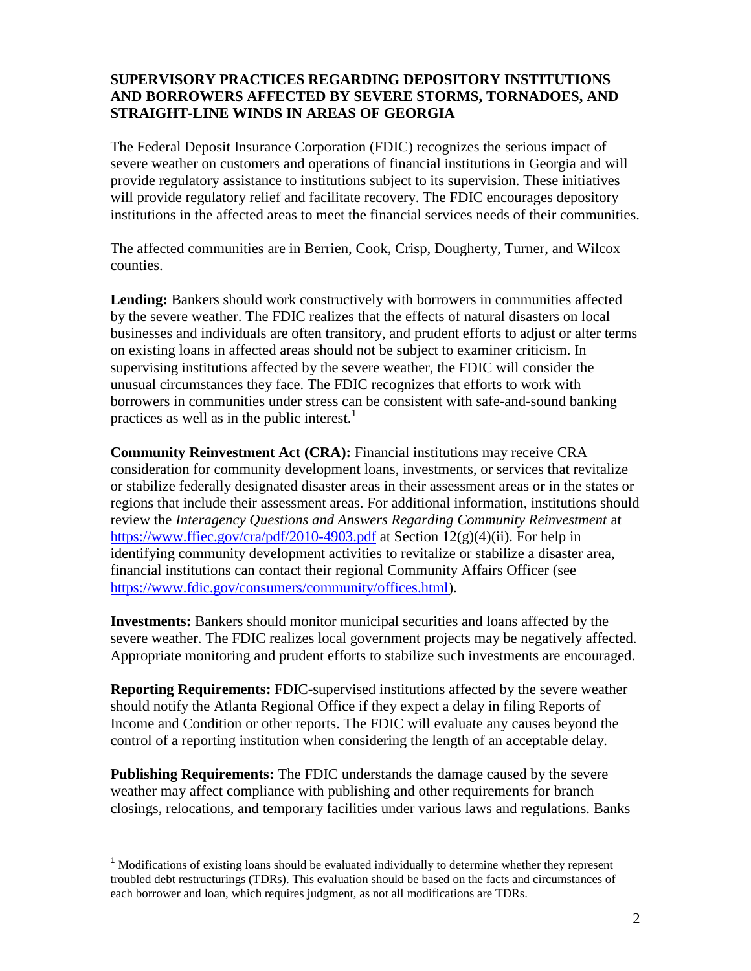## **SUPERVISORY PRACTICES REGARDING DEPOSITORY INSTITUTIONS AND BORROWERS AFFECTED BY SEVERE STORMS, TORNADOES, AND STRAIGHT-LINE WINDS IN AREAS OF GEORGIA**

The Federal Deposit Insurance Corporation (FDIC) recognizes the serious impact of severe weather on customers and operations of financial institutions in Georgia and will provide regulatory assistance to institutions subject to its supervision. These initiatives will provide regulatory relief and facilitate recovery. The FDIC encourages depository institutions in the affected areas to meet the financial services needs of their communities.

The affected communities are in Berrien, Cook, Crisp, Dougherty, Turner, and Wilcox counties.

**Lending:** Bankers should work constructively with borrowers in communities affected by the severe weather. The FDIC realizes that the effects of natural disasters on local businesses and individuals are often transitory, and prudent efforts to adjust or alter terms on existing loans in affected areas should not be subject to examiner criticism. In supervising institutions affected by the severe weather, the FDIC will consider the unusual circumstances they face. The FDIC recognizes that efforts to work with borrowers in communities under stress can be consistent with safe-and-sound banking practices as well as in the public interest.<sup>1</sup>

**Community Reinvestment Act (CRA):** Financial institutions may receive CRA consideration for community development loans, investments, or services that revitalize or stabilize federally designated disaster areas in their assessment areas or in the states or regions that include their assessment areas. For additional information, institutions should review the *Interagency Questions and Answers Regarding Community Reinvestment* at <https://www.ffiec.gov/cra/pdf/2010-4903.pdf> at Section 12(g)(4)(ii). For help in identifying community development activities to revitalize or stabilize a disaster area, financial institutions can contact their regional Community Affairs Officer (see [https://www.fdic.gov/consumers/community/offices.html\)](https://www.fdic.gov/consumers/community/offices.html).

**Investments:** Bankers should monitor municipal securities and loans affected by the severe weather. The FDIC realizes local government projects may be negatively affected. Appropriate monitoring and prudent efforts to stabilize such investments are encouraged.

**Reporting Requirements:** FDIC-supervised institutions affected by the severe weather should notify the Atlanta Regional Office if they expect a delay in filing Reports of Income and Condition or other reports. The FDIC will evaluate any causes beyond the control of a reporting institution when considering the length of an acceptable delay.

**Publishing Requirements:** The FDIC understands the damage caused by the severe weather may affect compliance with publishing and other requirements for branch closings, relocations, and temporary facilities under various laws and regulations. Banks

j

 $<sup>1</sup>$  Modifications of existing loans should be evaluated individually to determine whether they represent</sup> troubled debt restructurings (TDRs). This evaluation should be based on the facts and circumstances of each borrower and loan, which requires judgment, as not all modifications are TDRs.